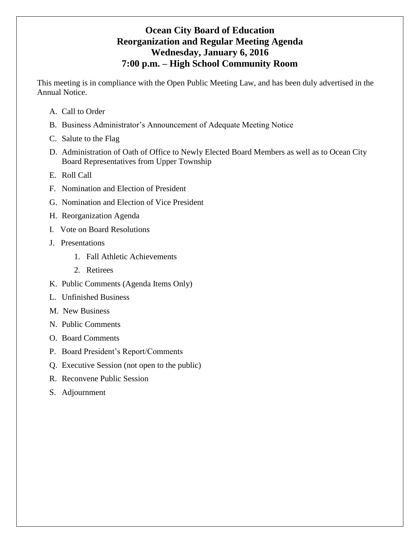# **Ocean City Board of Education Reorganization and Regular Meeting Agenda Wednesday, January 6, 2016 7:00 p.m. – High School Community Room**

This meeting is in compliance with the Open Public Meeting Law, and has been duly advertised in the Annual Notice.

- A. Call to Order
- B. Business Administrator's Announcement of Adequate Meeting Notice
- C. Salute to the Flag
- D. Administration of Oath of Office to Newly Elected Board Members as well as to Ocean City Board Representatives from Upper Township
- E. Roll Call
- F. Nomination and Election of President
- G. Nomination and Election of Vice President
- H. Reorganization Agenda
- I. Vote on Board Resolutions
- J. Presentations
	- 1. Fall Athletic Achievements
	- 2. Retirees
- K. Public Comments (Agenda Items Only)
- L. Unfinished Business
- M. New Business
- N. Public Comments
- O. Board Comments
- P. Board President's Report/Comments
- Q. Executive Session (not open to the public)
- R. Reconvene Public Session
- S. Adjournment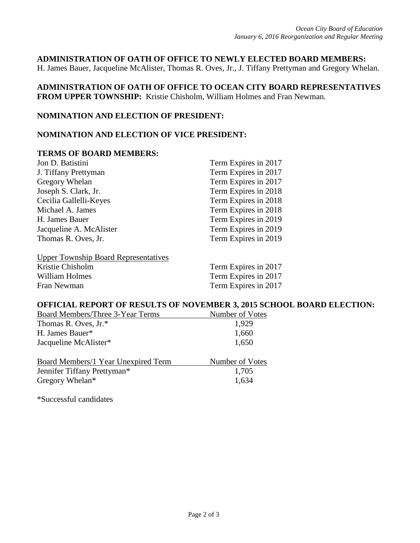**ADMINISTRATION OF OATH OF OFFICE TO NEWLY ELECTED BOARD MEMBERS:** 

H. James Bauer, Jacqueline McAlister, Thomas R. Oves, Jr., J. Tiffany Prettyman and Gregory Whelan.

**ADMINISTRATION OF OATH OF OFFICE TO OCEAN CITY BOARD REPRESENTATIVES FROM UPPER TOWNSHIP:** Kristie Chisholm, William Holmes and Fran Newman.

#### **NOMINATION AND ELECTION OF PRESIDENT:**

### **NOMINATION AND ELECTION OF VICE PRESIDENT:**

#### **TERMS OF BOARD MEMBERS:**

| Jon D. Batistini                            | Term Expires in 2017 |
|---------------------------------------------|----------------------|
| J. Tiffany Prettyman                        | Term Expires in 2017 |
| Gregory Whelan                              | Term Expires in 2017 |
| Joseph S. Clark, Jr.                        | Term Expires in 2018 |
| Cecilia Gallelli-Keyes                      | Term Expires in 2018 |
| Michael A. James                            | Term Expires in 2018 |
| H. James Bauer                              | Term Expires in 2019 |
| Jacqueline A. McAlister                     | Term Expires in 2019 |
| Thomas R. Oves, Jr.                         | Term Expires in 2019 |
| <b>Upper Township Board Representatives</b> |                      |
| Kristia Chisholm                            | Torm Evniros in 2017 |

| Kristie Chisholm | Term Expires in 2017 |
|------------------|----------------------|
| William Holmes   | Term Expires in 2017 |
| Fran Newman      | Term Expires in 2017 |

#### **OFFICIAL REPORT OF RESULTS OF NOVEMBER 3, 2015 SCHOOL BOARD ELECTION:**

| Board Members/Three 3-Year Terms           | Number of Votes |
|--------------------------------------------|-----------------|
| Thomas R. Oves, Jr.*                       | 1,929           |
| H. James Bauer*                            | 1,660           |
| Jacqueline McAlister*                      | 1,650           |
| <b>Board Members/1 Year Unexpired Term</b> | Number of Votes |
| Jennifer Tiffany Prettyman*                | 1,705           |
| Gregory Whelan*                            | 1,634           |

\*Successful candidates